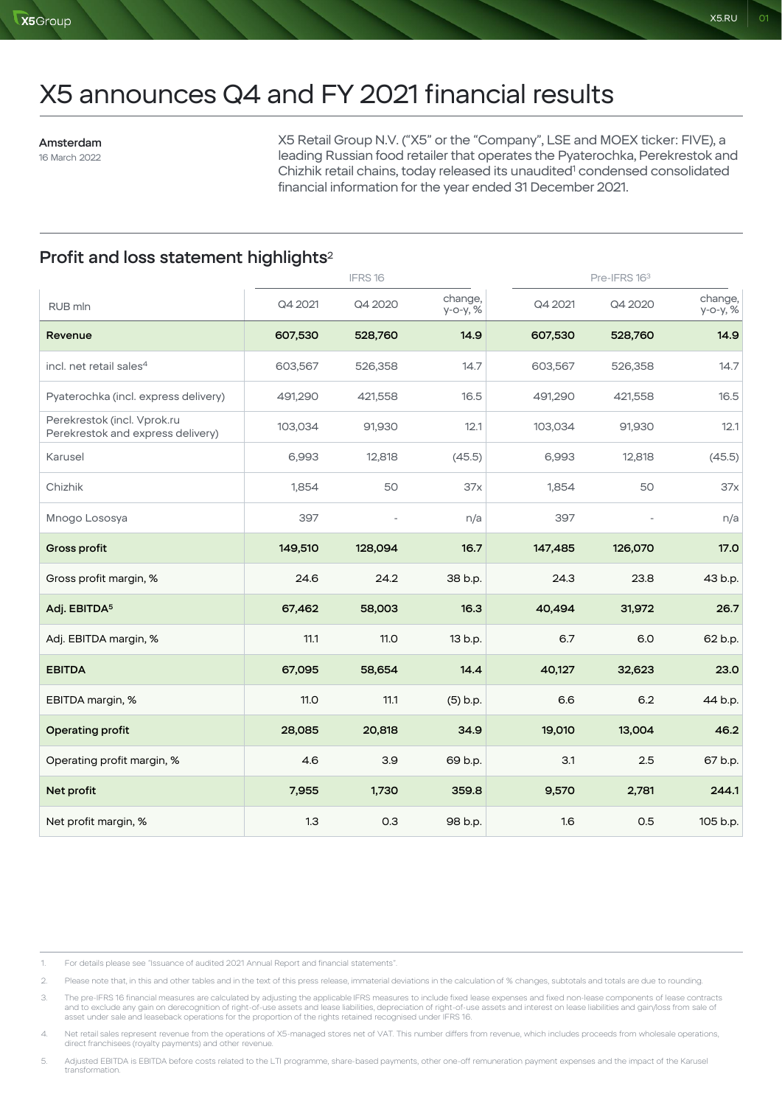# X5 announces Q4 and FY 2021 financial results

Amsterdam 16 March 2022

X5 Retail Group N.V. ("X5" or the "Company", LSE and MOEX ticker: FIVE), a leading Russian food retailer that operates the Pyaterochka, Perekrestok and Chizhik retail chains, today released its unaudited<sup>1</sup> condensed consolidated financial information for the year ended 31 December 2021.

# Profit and loss statement highlights<sup>2</sup>

|                                                                  |         | IFRS16      |                     |         | Pre-IFRS 163 |                     |  |
|------------------------------------------------------------------|---------|-------------|---------------------|---------|--------------|---------------------|--|
| RUB mln                                                          | Q4 2021 | Q4 2020     | change,<br>у-о-у, % | Q4 2021 | Q4 2020      | change,<br>у-о-у, % |  |
| Revenue                                                          | 607,530 | 528,760     | 14.9                | 607,530 | 528,760      | 14.9                |  |
| incl. net retail sales <sup>4</sup>                              | 603,567 | 526,358     | 14.7                | 603,567 | 526,358      | 14.7                |  |
| Pyaterochka (incl. express delivery)                             | 491,290 | 421,558     | 16.5                | 491,290 | 421,558      | 16.5                |  |
| Perekrestok (incl. Vprok.ru<br>Perekrestok and express delivery) | 103,034 | 91,930      | 12.1                | 103,034 | 91,930       | 12.1                |  |
| Karusel                                                          | 6,993   | 12,818      | (45.5)              | 6,993   | 12,818       | (45.5)              |  |
| Chizhik                                                          | 1,854   | 50          | 37x                 | 1,854   | 50           | 37x                 |  |
| Mnogo Lososya                                                    | 397     |             | n/a                 | 397     |              | n/a                 |  |
| <b>Gross profit</b>                                              | 149,510 | 128,094     | 16.7                | 147,485 | 126,070      | 17.0                |  |
| Gross profit margin, %                                           | 24.6    | 24.2        | 38 b.p.             | 24.3    | 23.8         | 43 b.p.             |  |
| Adj. EBITDA <sup>5</sup>                                         | 67,462  | 58,003      | 16.3                | 40,494  | 31,972       | 26.7                |  |
| Adj. EBITDA margin, %                                            | 11.1    | <b>11.0</b> | 13 b.p.             | 6.7     | 6.0          | 62 b.p.             |  |
| <b>EBITDA</b>                                                    | 67,095  | 58,654      | 14.4                | 40,127  | 32,623       | 23.0                |  |
| EBITDA margin, %                                                 | 11.0    | 11.1        | (5) b.p.            | 6.6     | 6.2          | 44 b.p.             |  |
| Operating profit                                                 | 28,085  | 20,818      | 34.9                | 19,010  | 13,004       | 46.2                |  |
| Operating profit margin, %                                       | 4.6     | 3.9         | 69 b.p.             | 3.1     | 2.5          | 67 b.p.             |  |
| Net profit                                                       | 7,955   | 1,730       | 359.8               | 9,570   | 2,781        | 244.1               |  |
| Net profit margin, %                                             | 1.3     | 0.3         | 98 b.p.             | 1.6     | 0.5          | 105 b.p.            |  |

1. For details please see "Issuance of audited 2021 Annual Report and financial statements".

2. Please note that, in this and other tables and in the text of this press release, immaterial deviations in the calculation of % changes, subtotals and totals are due to rounding.

3. The pre-IFRS 16 financial measures are calculated by adjusting the applicable IFRS measures to include fixed lease expenses and fixed non-lease components of lease contracts and to exclude any gain on derecognition of right-of-use assets and lease liabilities, depreciation of right-of-use assets and interest on lease liabilities and gain/loss from sale of<br>asset under sale and leaseback operati

4. Net retail sales represent revenue from the operations of X5-managed stores net of VAT. This number differs from revenue, which includes proceeds from wholesale operations, direct franchisees (royalty payments) and other revenue.

5. Adjusted EBITDA is EBITDA before costs related to the LTI programme, share-based payments, other one-off remuneration payment expenses and the impact of the Karusel transformation.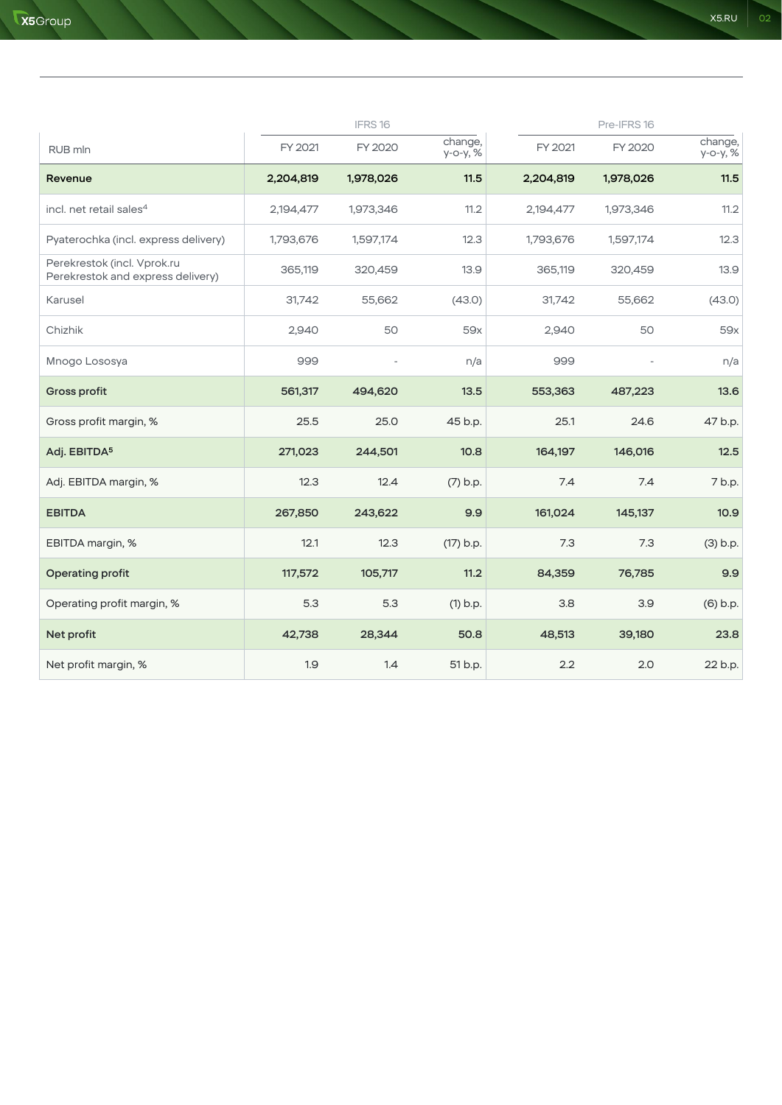|                                                                  |           | IFRS16    |                     |           | Pre-IFRS 16 |                     |
|------------------------------------------------------------------|-----------|-----------|---------------------|-----------|-------------|---------------------|
| RUB mln                                                          | FY 2021   | FY 2020   | change,<br>у-о-у, % | FY 2021   | FY 2020     | change,<br>у-о-у, % |
| Revenue                                                          | 2,204,819 | 1,978,026 | 11.5                | 2,204,819 | 1,978,026   | 11.5                |
| incl. net retail sales <sup>4</sup>                              | 2,194,477 | 1,973,346 | 11.2                | 2,194,477 | 1,973,346   | 11.2                |
| Pyaterochka (incl. express delivery)                             | 1,793,676 | 1,597,174 | 12.3                | 1,793,676 | 1,597,174   | 12.3                |
| Perekrestok (incl. Vprok.ru<br>Perekrestok and express delivery) | 365,119   | 320,459   | 13.9                | 365,119   | 320,459     | 13.9                |
| Karusel                                                          | 31,742    | 55,662    | (43.0)              | 31,742    | 55,662      | (43.0)              |
| Chizhik                                                          | 2,940     | 50        | 59x                 | 2,940     | 50          | 59x                 |
| Mnogo Lososya                                                    | 999       |           | n/a                 | 999       |             | n/a                 |
| <b>Gross profit</b>                                              | 561,317   | 494,620   | 13.5                | 553,363   | 487,223     | 13.6                |
| Gross profit margin, %                                           | 25.5      | 25.0      | 45 b.p.             | 25.1      | 24.6        | 47 b.p.             |
| Adj. EBITDA <sup>5</sup>                                         | 271,023   | 244,501   | 10.8                | 164,197   | 146,016     | 12.5                |
| Adj. EBITDA margin, %                                            | 12.3      | 12.4      | $(7)$ b.p.          | 7.4       | 7.4         | 7 b.p.              |
| <b>EBITDA</b>                                                    | 267,850   | 243,622   | 9.9                 | 161,024   | 145,137     | 10.9                |
| EBITDA margin, %                                                 | 12.1      | 12.3      | $(17)$ b.p.         | 7.3       | 7.3         | $(3)$ b.p.          |
| Operating profit                                                 | 117,572   | 105,717   | 11.2                | 84,359    | 76,785      | 9.9                 |
| Operating profit margin, %                                       | 5.3       | 5.3       | $(1)$ b.p.          | 3.8       | 3.9         | (6) b.p.            |
| Net profit                                                       | 42,738    | 28,344    | 50.8                | 48,513    | 39,180      | 23.8                |
| Net profit margin, %                                             | 1.9       | 1.4       | 51 b.p.             | 2.2       | 2.0         | 22 b.p.             |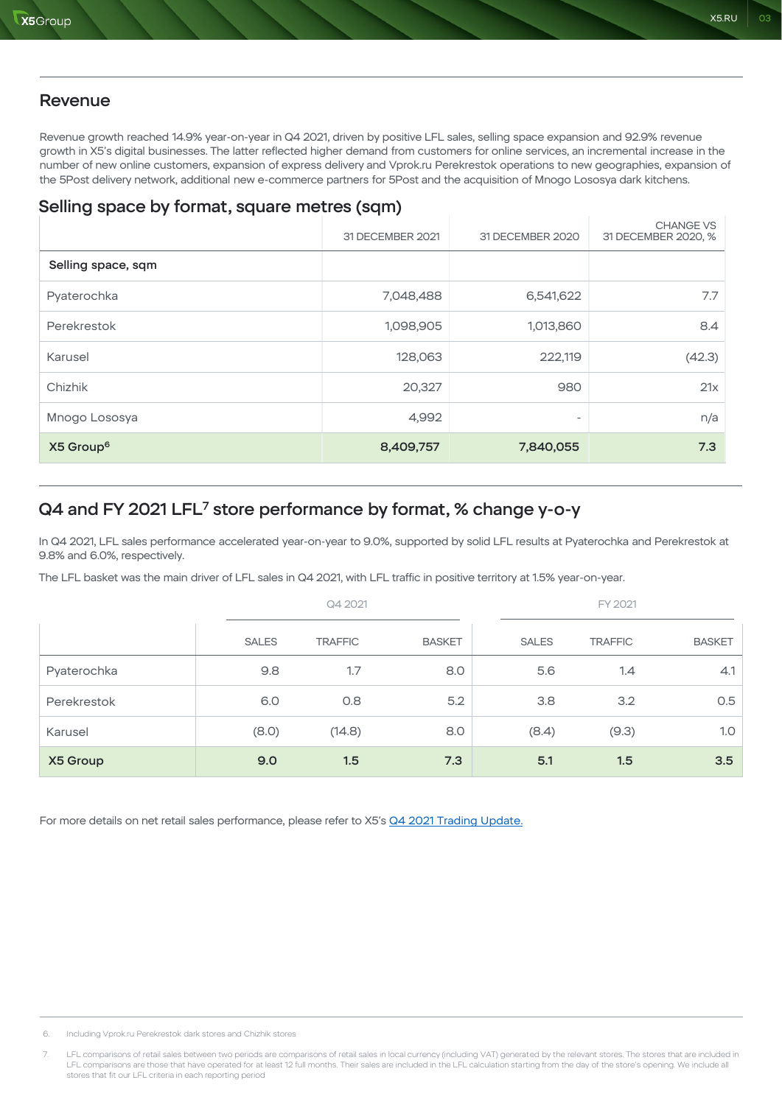### **Revenue**

Revenue growth reached 14.9% year-on-year in Q4 2021, driven by positive LFL sales, selling space expansion and 92.9% revenue growth in X5's digital businesses. The latter reflected higher demand from customers for online services, an incremental increase in the number of new online customers, expansion of express delivery and Vprok.ru Perekrestok operations to new geographies, expansion of the 5Post delivery network, additional new e-commerce partners for 5Post and the acquisition of Mnogo Lososya dark kitchens.

# Selling space by format, square metres (sqm)

|                       | 31 DECEMBER 2021 | 31 DECEMBER 2020         | <b>CHANGE VS</b><br>31 DECEMBER 2020, % |
|-----------------------|------------------|--------------------------|-----------------------------------------|
| Selling space, sqm    |                  |                          |                                         |
| Pyaterochka           | 7,048,488        | 6,541,622                | 7.7                                     |
| Perekrestok           | 1,098,905        | 1,013,860                | 8.4                                     |
| Karusel               | 128,063          | 222,119                  | (42.3)                                  |
| Chizhik               | 20,327           | 980                      | 21x                                     |
| Mnogo Lososya         | 4,992            | $\overline{\phantom{a}}$ | n/a                                     |
| X5 Group <sup>6</sup> | 8,409,757        | 7,840,055                | 7.3                                     |

# Q4 and FY 2021 LFL<sup>7</sup> store performance by format, % change y-o-y

In Q4 2021, LFL sales performance accelerated year-on-year to 9.0%, supported by solid LFL results at Pyaterochka and Perekrestok at 9.8% and 6.0%, respectively.

The LFL basket was the main driver of LFL sales in Q4 2021, with LFL traffic in positive territory at 1.5% year-on-year.

|             |              | Q4 2021        |               |              | FY 2021        |               |  |
|-------------|--------------|----------------|---------------|--------------|----------------|---------------|--|
|             | <b>SALES</b> | <b>TRAFFIC</b> | <b>BASKET</b> | <b>SALES</b> | <b>TRAFFIC</b> | <b>BASKET</b> |  |
| Pyaterochka | 9.8          | 1.7            | 8.0           | 5.6          | 1.4            | 4.1           |  |
| Perekrestok | 6.0          | 0.8            | 5.2           | 3.8          | 3.2            | 0.5           |  |
| Karusel     | (8.0)        | (14.8)         | 8.0           | (8.4)        | (9.3)          | 1.0           |  |
| X5 Group    | 9.0          | 1.5            | 7.3           | 5.1          | 1.5            | 3.5           |  |

For more details on net retail sales performance, please refer to X5's [Q4 2021 Trading Update.](https://www.x5.ru/en/PublishingImages/Pages/Media/News/Q4_2021_Trading_Update_ENG.pdf)

6. Including Vprok.ru Perekrestok dark stores and Chizhik stores

7. LFL comparisons of retail sales between two periods are comparisons of retail sales in local currency (including VAT) generated by the relevant stores. The stores that are included in<br>LFL comparisons are those that have stores that fit our LFL criteria in each reporting period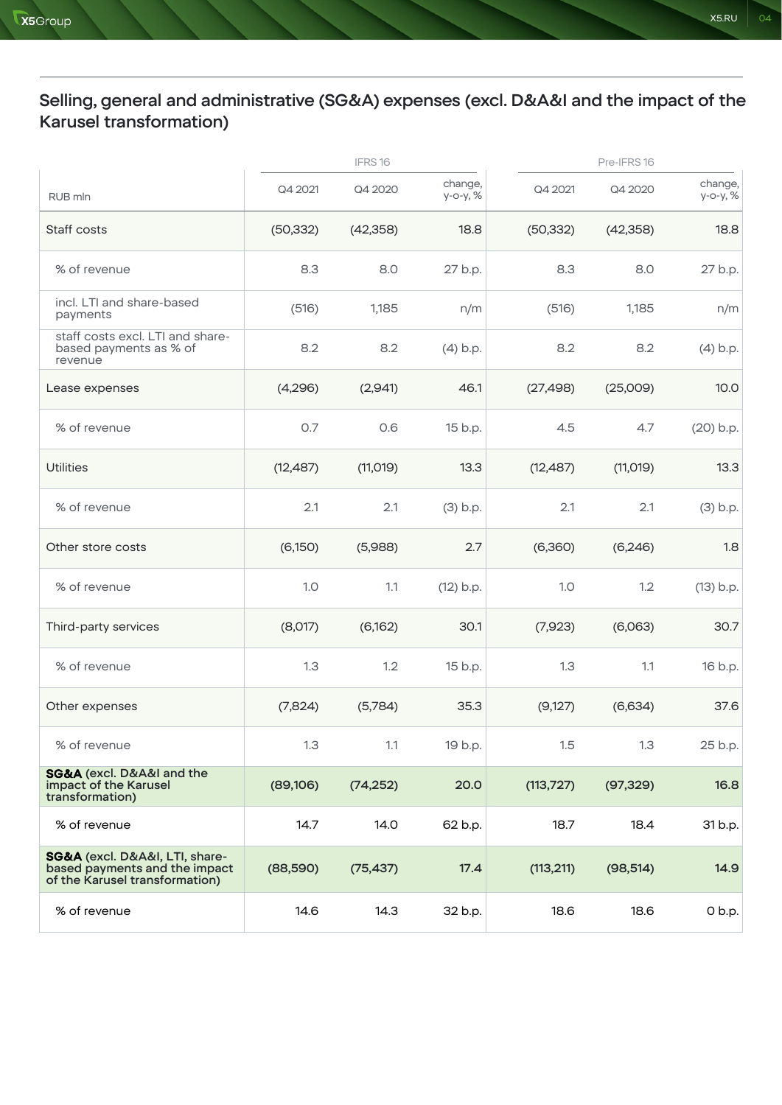# Selling, general and administrative (SG&A) expenses (excl. D&A&I and the impact of the Karusel transformation)

|                                                                                                   |           | IFRS16    |                     |            | Pre-IFRS 16 |                     |
|---------------------------------------------------------------------------------------------------|-----------|-----------|---------------------|------------|-------------|---------------------|
| RUB mln                                                                                           | Q4 2021   | Q4 2020   | change,<br>у-о-у, % | Q4 2021    | Q4 2020     | change,<br>у-о-у, % |
| Staff costs                                                                                       | (50, 332) | (42, 358) | 18.8                | (50, 332)  | (42, 358)   | 18.8                |
| % of revenue                                                                                      | 8.3       | 8.0       | 27 b.p.             | 8.3        | 8.0         | 27 b.p.             |
| incl. LTI and share-based<br>payments                                                             | (516)     | 1,185     | n/m                 | (516)      | 1,185       | n/m                 |
| staff costs excl. LTI and share-<br>based payments as % of<br>revenue                             | 8.2       | 8.2       | $(4)$ b.p.          | 8.2        | 8.2         | $(4)$ b.p.          |
| Lease expenses                                                                                    | (4,296)   | (2,941)   | 46.1                | (27, 498)  | (25,009)    | 10.0                |
| % of revenue                                                                                      | 0.7       | 0.6       | 15 b.p.             | 4.5        | 4.7         | $(20)$ b.p.         |
| <b>Utilities</b>                                                                                  | (12, 487) | (11, 019) | 13.3                | (12, 487)  | (11, 019)   | 13.3                |
| % of revenue                                                                                      | 2.1       | 2.1       | $(3)$ b.p.          | 2.1        | 2.1         | $(3)$ b.p.          |
| Other store costs                                                                                 | (6,150)   | (5,988)   | 2.7                 | (6,360)    | (6, 246)    | 1.8                 |
| % of revenue                                                                                      | 1.0       | 1.1       | $(12)$ b.p.         | 1.0        | 1.2         | $(13)$ b.p.         |
| Third-party services                                                                              | (8,017)   | (6,162)   | 30.1                | (7,923)    | (6,063)     | 30.7                |
| % of revenue                                                                                      | 1.3       | 1.2       | 15 b.p.             | 1.3        | 1.1         | 16 b.p.             |
| Other expenses                                                                                    | (7,824)   | (5,784)   | 35.3                | (9,127)    | (6,634)     | 37.6                |
| % of revenue                                                                                      | 1.3       | 1.1       | 19 b.p.             | 1.5        | 1.3         | 25 b.p.             |
| <b>SG&amp;A</b> (excl. D&A&I and the<br>impact of the Karusel<br>transformation)                  | (89, 106) | (74, 252) | 20.0                | (113, 727) | (97, 329)   | 16.8                |
| % of revenue                                                                                      | 14.7      | 14.0      | 62 b.p.             | 18.7       | 18.4        | 31 b.p.             |
| SG&A (excl. D&A&I, LTI, share-<br>based payments and the impact<br>of the Karusel transformation) | (88,590)  | (75, 437) | 17.4                | (113, 211) | (98, 514)   | 14.9                |
| % of revenue                                                                                      | 14.6      | 14.3      | 32 b.p.             | 18.6       | 18.6        | 0 b.p.              |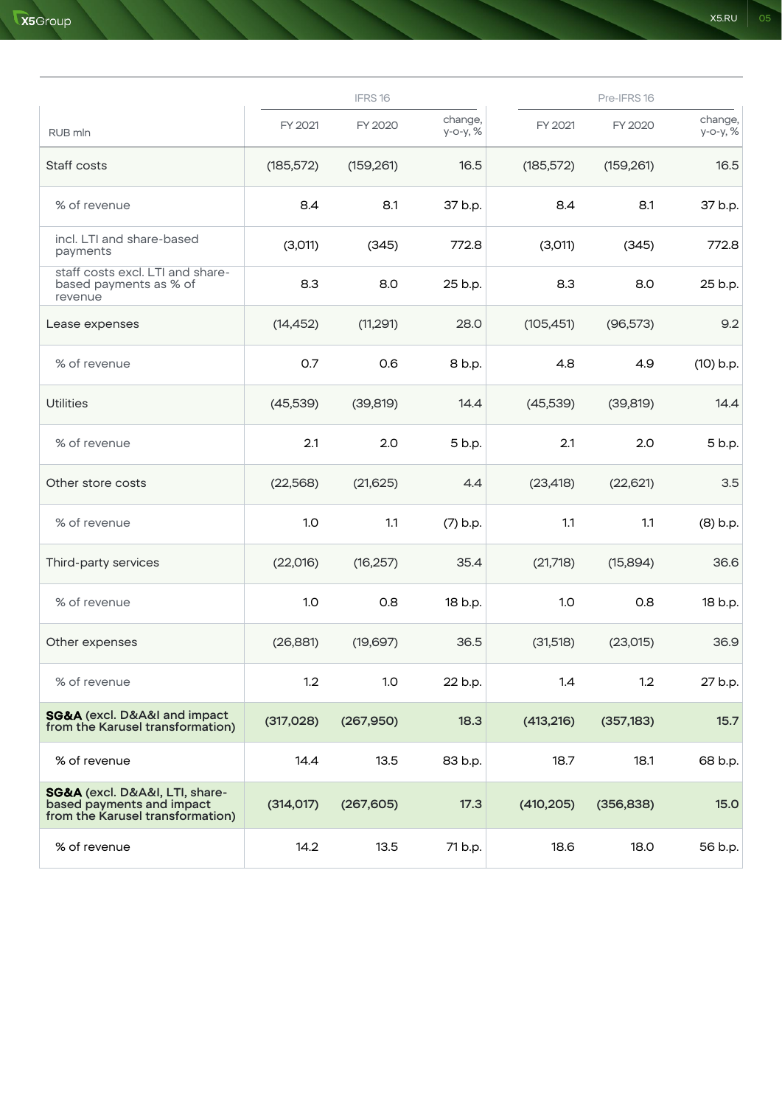|                                                                                                 |            | IFRS16     |                        |            | Pre-IFRS16 |                     |
|-------------------------------------------------------------------------------------------------|------------|------------|------------------------|------------|------------|---------------------|
| RUB mln                                                                                         | FY 2021    | FY 2020    | change,<br>$y$ -0-y, % | FY 2021    | FY 2020    | change,<br>у-о-у, % |
| Staff costs                                                                                     | (185, 572) | (159, 261) | 16.5                   | (185, 572) | (159, 261) | 16.5                |
| % of revenue                                                                                    | 8.4        | 8.1        | 37 b.p.                | 8.4        | 8.1        | 37 b.p.             |
| incl. LTI and share-based<br>payments                                                           | (3,011)    | (345)      | 772.8                  | (3,011)    | (345)      | 772.8               |
| staff costs excl. LTI and share-<br>based payments as % of<br>revenue                           | 8.3        | 8.0        | 25 b.p.                | 8.3        | 8.0        | 25 b.p.             |
| Lease expenses                                                                                  | (14, 452)  | (11, 291)  | 28.0                   | (105, 451) | (96, 573)  | 9.2                 |
| % of revenue                                                                                    | 0.7        | 0.6        | 8 b.p.                 | 4.8        | 4.9        | $(10)$ b.p.         |
| <b>Utilities</b>                                                                                | (45, 539)  | (39, 819)  | 14.4                   | (45,539)   | (39, 819)  | 14.4                |
| % of revenue                                                                                    | 2.1        | 2.0        | 5 b.p.                 | 2.1        | 2.0        | 5 b.p.              |
| Other store costs                                                                               | (22, 568)  | (21, 625)  | 4.4                    | (23, 418)  | (22, 621)  | 3.5                 |
| % of revenue                                                                                    | 1.0        | 1.1        | $(7)$ b.p.             | 1.1        | 1.1        | $(8)$ b.p.          |
| Third-party services                                                                            | (22,016)   | (16, 257)  | 35.4                   | (21,718)   | (15,894)   | 36.6                |
| % of revenue                                                                                    | 1.0        | 0.8        | 18 b.p.                | 1.0        | 0.8        | 18 b.p.             |
| Other expenses                                                                                  | (26, 881)  | (19,697)   | 36.5                   | (31,518)   | (23,015)   | 36.9                |
| % of revenue                                                                                    | 1.2        | 1.0        | 22 b.p.                | 1.4        | 1.2        | 27 b.p.             |
| <b>SG&amp;A</b> (excl. D&A&I and impact<br>from the Karusel transformation)                     | (317, 028) | (267,950)  | 18.3                   | (413, 216) | (357, 183) | 15.7                |
| % of revenue                                                                                    | 14.4       | 13.5       | 83 b.p.                | 18.7       | 18.1       | 68 b.p.             |
| SG&A (excl. D&A&I, LTI, share-<br>based payments and impact<br>from the Karusel transformation) | (314, 017) | (267, 605) | 17.3                   | (410, 205) | (356, 838) | <b>15.0</b>         |
| % of revenue                                                                                    | 14.2       | 13.5       | 71 b.p.                | 18.6       | 18.0       | 56 b.p.             |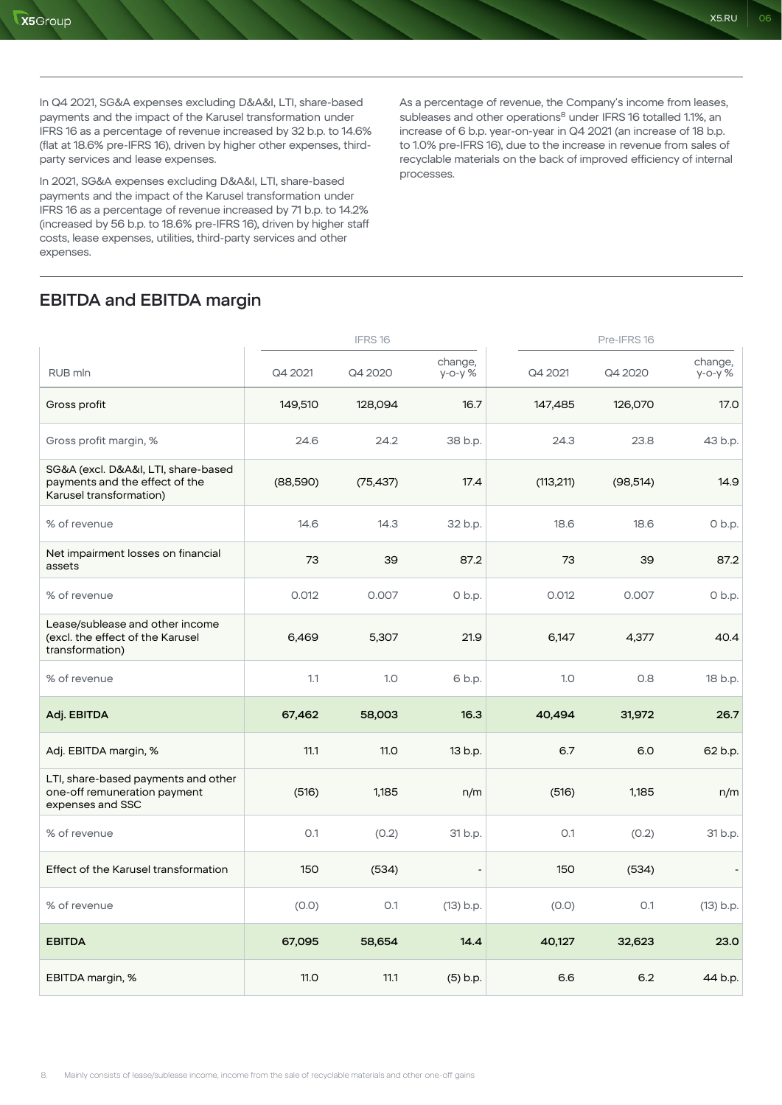In Q4 2021, SG&A expenses excluding D&A&I, LTI, share-based payments and the impact of the Karusel transformation under IFRS 16 as a percentage of revenue increased by 32 b.p. to 14.6% (flat at 18.6% pre-IFRS 16), driven by higher other expenses, thirdparty services and lease expenses.

In 2021, SG&A expenses excluding D&A&I, LTI, share-based payments and the impact of the Karusel transformation under IFRS 16 as a percentage of revenue increased by 71 b.p. to 14.2% (increased by 56 b.p. to 18.6% pre-IFRS 16), driven by higher staff costs, lease expenses, utilities, third-party services and other expenses.

As a percentage of revenue, the Company's income from leases, subleases and other operations<sup>8</sup> under IFRS 16 totalled 1.1%, an increase of 6 b.p. year-on-year in Q4 2021 (an increase of 18 b.p. to 1.0% pre-IFRS 16), due to the increase in revenue from sales of recyclable materials on the back of improved efficiency of internal processes.

# EBITDA and EBITDA margin

|                                                                                                  |          | IFRS16    |                       |            | Pre-IFRS16 |                          |  |
|--------------------------------------------------------------------------------------------------|----------|-----------|-----------------------|------------|------------|--------------------------|--|
| RUB mln                                                                                          | Q4 2021  | Q4 2020   | change,<br>$y$ -o-y % | Q4 2021    | Q4 2020    | change,<br>$y - 0 - y$ % |  |
| Gross profit                                                                                     | 149,510  | 128,094   | 16.7                  | 147,485    | 126,070    | 17.0                     |  |
| Gross profit margin, %                                                                           | 24.6     | 24.2      | 38 b.p.               | 24.3       | 23.8       | 43 b.p.                  |  |
| SG&A (excl. D&A&I, LTI, share-based<br>payments and the effect of the<br>Karusel transformation) | (88,590) | (75, 437) | 17.4                  | (113, 211) | (98, 514)  | 14.9                     |  |
| % of revenue                                                                                     | 14.6     | 14.3      | 32 b.p.               | 18.6       | 18.6       | $O$ b.p.                 |  |
| Net impairment losses on financial<br>assets                                                     | 73       | 39        | 87.2                  | 73         | 39         | 87.2                     |  |
| % of revenue                                                                                     | 0.012    | 0.007     | $0$ b.p.              | 0.012      | 0.007      | $0$ b.p.                 |  |
| Lease/sublease and other income<br>(excl. the effect of the Karusel<br>transformation)           | 6,469    | 5,307     | 21.9                  | 6,147      | 4,377      | 40.4                     |  |
| % of revenue                                                                                     | 1.1      | 1.0       | 6 b.p.                | 1.0        | 0.8        | 18 b.p.                  |  |
| Adj. EBITDA                                                                                      | 67,462   | 58,003    | 16.3                  | 40,494     | 31,972     | 26.7                     |  |
| Adj. EBITDA margin, %                                                                            | 11.1     | 11.0      | 13 b.p.               | 6.7        | 6.0        | 62 b.p.                  |  |
| LTI, share-based payments and other<br>one-off remuneration payment<br>expenses and SSC          | (516)    | 1,185     | n/m                   | (516)      | 1,185      | n/m                      |  |
| % of revenue                                                                                     | O.1      | (0.2)     | 31 b.p.               | 0.1        | (0.2)      | 31 b.p.                  |  |
| Effect of the Karusel transformation                                                             | 150      | (534)     |                       | 150        | (534)      |                          |  |
| % of revenue                                                                                     | (0.0)    | O.1       | $(13)$ b.p.           | (0.0)      | O.1        | $(13)$ b.p.              |  |
| <b>EBITDA</b>                                                                                    | 67,095   | 58,654    | 14.4                  | 40,127     | 32,623     | 23.0                     |  |
| EBITDA margin, %                                                                                 | 11.0     | 11.1      | (5) b.p.              | 6.6        | 6.2        | 44 b.p.                  |  |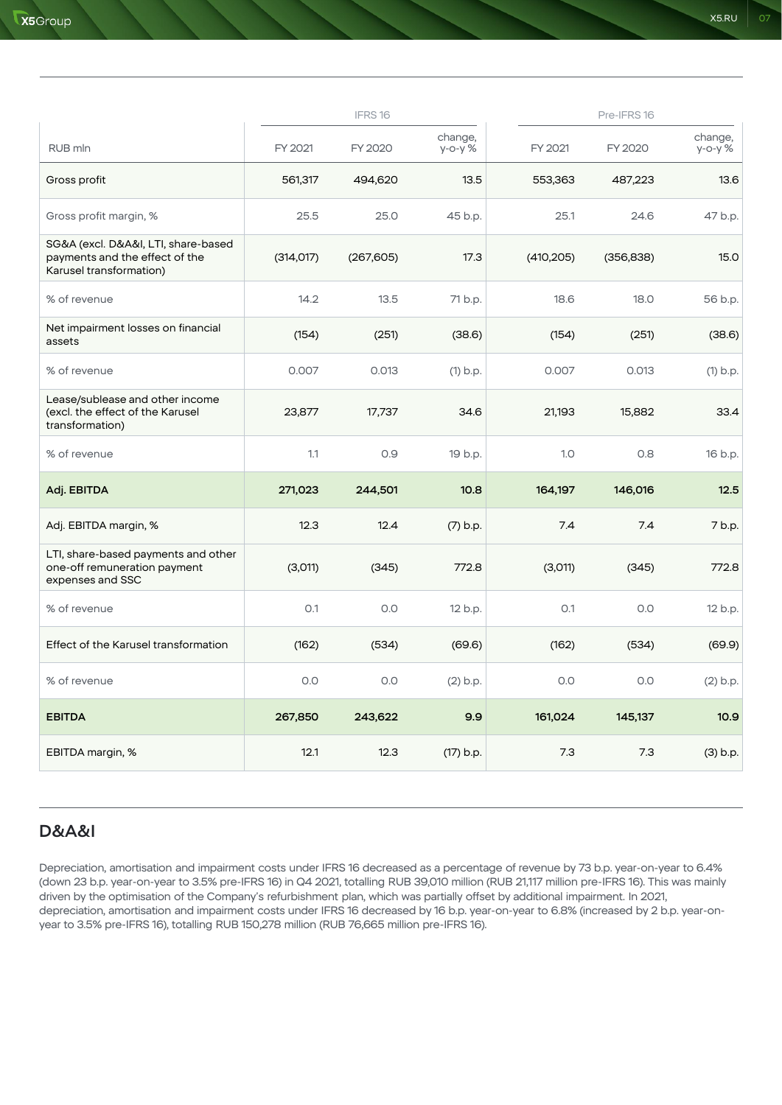|                                                                                                  |            | IFRS16     |                         |            | Pre-IFRS16 |                       |
|--------------------------------------------------------------------------------------------------|------------|------------|-------------------------|------------|------------|-----------------------|
| RUB mln                                                                                          | FY 2021    | FY 2020    | change,<br>$y$ -o-y $%$ | FY 2021    | FY 2020    | change,<br>$y$ -o-y % |
| Gross profit                                                                                     | 561,317    | 494,620    | 13.5                    | 553,363    | 487,223    | 13.6                  |
| Gross profit margin, %                                                                           | 25.5       | 25.0       | 45 b.p.                 | 25.1       | 24.6       | 47 b.p.               |
| SG&A (excl. D&A&I, LTI, share-based<br>payments and the effect of the<br>Karusel transformation) | (314, 017) | (267, 605) | 17.3                    | (410, 205) | (356, 838) | 15.0                  |
| % of revenue                                                                                     | 14.2       | 13.5       | 71 b.p.                 | 18.6       | 18.0       | 56 b.p.               |
| Net impairment losses on financial<br>assets                                                     | (154)      | (251)      | (38.6)                  | (154)      | (251)      | (38.6)                |
| % of revenue                                                                                     | 0.007      | 0.013      | $(1)$ b.p.              | 0.007      | 0.013      | $(1)$ b.p.            |
| Lease/sublease and other income<br>(excl. the effect of the Karusel<br>transformation)           | 23,877     | 17,737     | 34.6                    | 21,193     | 15,882     | 33.4                  |
| % of revenue                                                                                     | 1.1        | 0.9        | 19 b.p.                 | 1.0        | 0.8        | 16 b.p.               |
| Adj. EBITDA                                                                                      | 271,023    | 244,501    | 10.8                    | 164,197    | 146,016    | 12.5                  |
| Adj. EBITDA margin, %                                                                            | 12.3       | 12.4       | $(7)$ b.p.              | 7.4        | 7.4        | 7 b.p.                |
| LTI, share-based payments and other<br>one-off remuneration payment<br>expenses and SSC          | (3,011)    | (345)      | 772.8                   | (3,011)    | (345)      | 772.8                 |
| % of revenue                                                                                     | O.1        | 0.0        | 12 b.p.                 | O.1        | 0.0        | 12 b.p.               |
| Effect of the Karusel transformation                                                             | (162)      | (534)      | (69.6)                  | (162)      | (534)      | (69.9)                |
| % of revenue                                                                                     | 0.0        | 0.0        | $(2)$ b.p.              | 0.0        | 0.0        | $(2)$ b.p.            |
| <b>EBITDA</b>                                                                                    | 267,850    | 243,622    | 9.9                     | 161,024    | 145,137    | 10.9                  |
| EBITDA margin, %                                                                                 | 12.1       | 12.3       | (17) b.p.               | 7.3        | 7.3        | (3) b.p.              |

## D&A&I

Depreciation, amortisation and impairment costs under IFRS 16 decreased as a percentage of revenue by 73 b.p. year-on-year to 6.4% (down 23 b.p. year-on-year to 3.5% pre-IFRS 16) in Q4 2021, totalling RUB 39,010 million (RUB 21,117 million pre-IFRS 16). This was mainly driven by the optimisation of the Company's refurbishment plan, which was partially offset by additional impairment. In 2021, depreciation, amortisation and impairment costs under IFRS 16 decreased by 16 b.p. year-on-year to 6.8% (increased by 2 b.p. year-onyear to 3.5% pre-IFRS 16), totalling RUB 150,278 million (RUB 76,665 million pre-IFRS 16).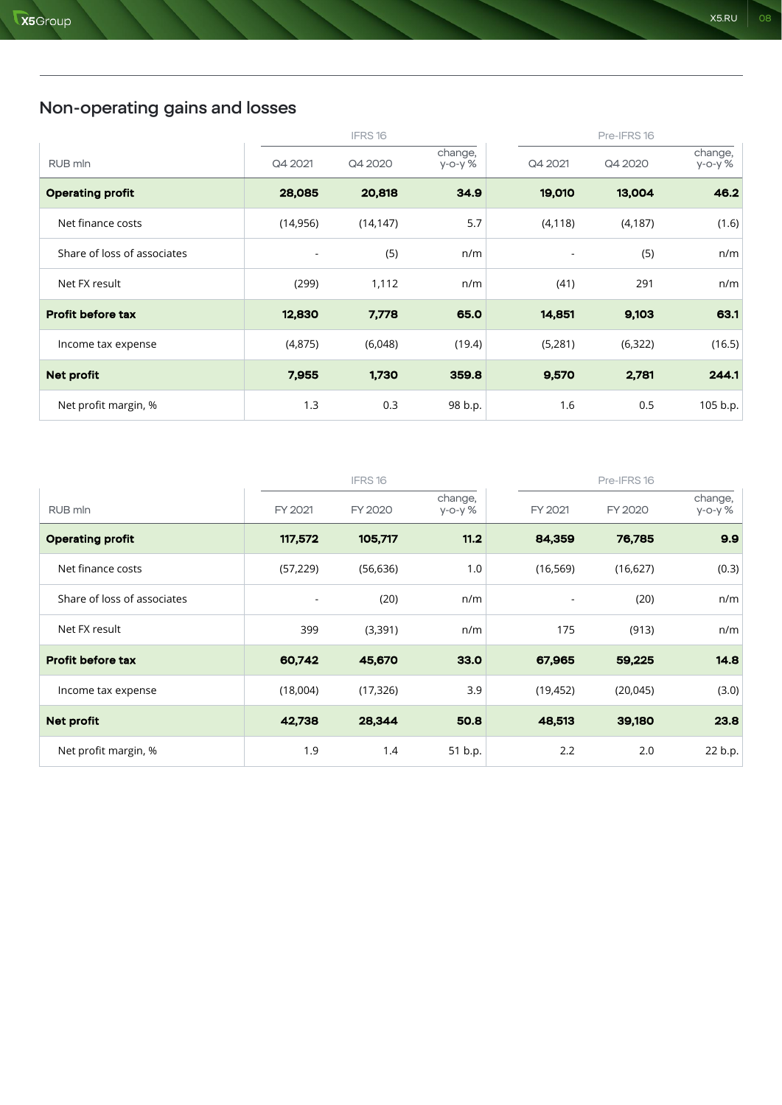|                             |           | IFRS16    |                    |                          | Pre-IFRS16 |                       |
|-----------------------------|-----------|-----------|--------------------|--------------------------|------------|-----------------------|
| RUB mln                     | Q4 2021   | Q4 2020   | change,<br>у-о-у % | Q4 2021                  | Q4 2020    | change,<br>$y$ -o-y % |
| <b>Operating profit</b>     | 28,085    | 20,818    | 34.9               | 19,010                   | 13,004     | 46.2                  |
| Net finance costs           | (14, 956) | (14, 147) | 5.7                | (4, 118)                 | (4, 187)   | (1.6)                 |
| Share of loss of associates | ٠         | (5)       | n/m                | $\overline{\phantom{a}}$ | (5)        | n/m                   |
| Net FX result               | (299)     | 1,112     | n/m                | (41)                     | 291        | n/m                   |
| <b>Profit before tax</b>    | 12,830    | 7,778     | 65.0               | 14,851                   | 9,103      | 63.1                  |
| Income tax expense          | (4,875)   | (6,048)   | (19.4)             | (5,281)                  | (6, 322)   | (16.5)                |
| <b>Net profit</b>           | 7,955     | 1,730     | 359.8              | 9,570                    | 2,781      | 244.1                 |
| Net profit margin, %        | 1.3       | 0.3       | 98 b.p.            | 1.6                      | 0.5        | 105 b.p.              |

|                             |                          | IFRS16    |                         |                          | Pre-IFRS 16 |                    |
|-----------------------------|--------------------------|-----------|-------------------------|--------------------------|-------------|--------------------|
| RUB mln                     | FY 2021                  | FY 2020   | change,<br>$y$ -o-y $%$ | FY 2021                  | FY 2020     | change,<br>у-о-у % |
| <b>Operating profit</b>     | 117,572                  | 105,717   | 11.2                    | 84,359                   | 76,785      | 9.9                |
| Net finance costs           | (57, 229)                | (56, 636) | 1.0                     | (16, 569)                | (16, 627)   | (0.3)              |
| Share of loss of associates | $\overline{\phantom{a}}$ | (20)      | n/m                     | $\overline{\phantom{a}}$ | (20)        | n/m                |
| Net FX result               | 399                      | (3,391)   | n/m                     | 175                      | (913)       | n/m                |
| <b>Profit before tax</b>    | 60,742                   | 45,670    | 33.0                    | 67,965                   | 59,225      | 14.8               |
| Income tax expense          | (18,004)                 | (17, 326) | 3.9                     | (19, 452)                | (20, 045)   | (3.0)              |
| <b>Net profit</b>           | 42,738                   | 28,344    | 50.8                    | 48,513                   | 39,180      | 23.8               |
| Net profit margin, %        | 1.9                      | 1.4       | 51 b.p.                 | 2.2                      | 2.0         | 22 b.p.            |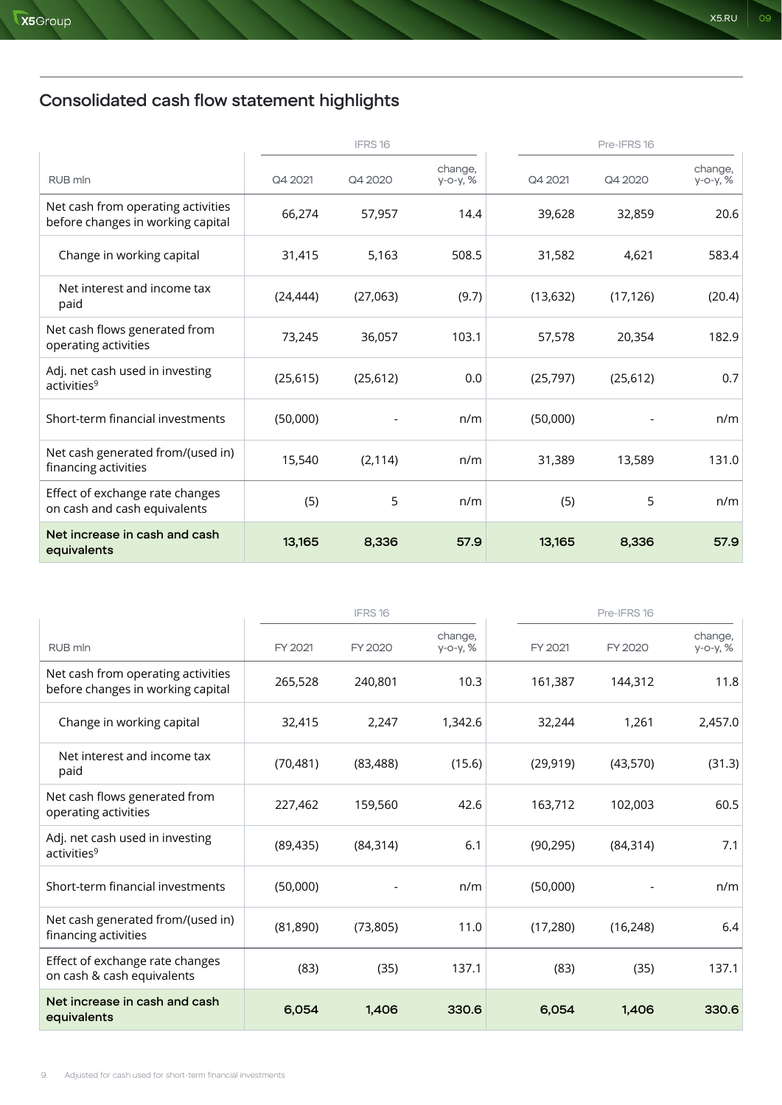# Consolidated cash flow statement highlights

|                                                                         |           | IFRS16    |                        |           | Pre-IFRS16 |                     |  |
|-------------------------------------------------------------------------|-----------|-----------|------------------------|-----------|------------|---------------------|--|
| RUB mln                                                                 | Q4 2021   | Q4 2020   | change,<br>$y$ -o-y, % | Q4 2021   | Q4 2020    | change,<br>у-о-у, % |  |
| Net cash from operating activities<br>before changes in working capital | 66,274    | 57,957    | 14.4                   | 39,628    | 32,859     | 20.6                |  |
| Change in working capital                                               | 31,415    | 5,163     | 508.5                  | 31,582    | 4,621      | 583.4               |  |
| Net interest and income tax<br>paid                                     | (24, 444) | (27,063)  | (9.7)                  | (13, 632) | (17, 126)  | (20.4)              |  |
| Net cash flows generated from<br>operating activities                   | 73,245    | 36,057    | 103.1                  | 57,578    | 20,354     | 182.9               |  |
| Adj. net cash used in investing<br>activities <sup>9</sup>              | (25, 615) | (25, 612) | 0.0                    | (25, 797) | (25, 612)  | 0.7                 |  |
| Short-term financial investments                                        | (50,000)  |           | n/m                    | (50,000)  |            | n/m                 |  |
| Net cash generated from/(used in)<br>financing activities               | 15,540    | (2, 114)  | n/m                    | 31,389    | 13,589     | 131.0               |  |
| Effect of exchange rate changes<br>on cash and cash equivalents         | (5)       | 5         | n/m                    | (5)       | 5          | n/m                 |  |
| Net increase in cash and cash<br>equivalents                            | 13,165    | 8,336     | 57.9                   | 13,165    | 8,336      | 57.9                |  |

|                                                                         |           | Pre-IFRS 16<br>IFRS16 |                        |           |           |                     |
|-------------------------------------------------------------------------|-----------|-----------------------|------------------------|-----------|-----------|---------------------|
| RUB mln                                                                 | FY 2021   | FY 2020               | change,<br>$y$ -o-y, % | FY 2021   | FY 2020   | change,<br>у-о-у, % |
| Net cash from operating activities<br>before changes in working capital | 265,528   | 240,801               | 10.3                   | 161,387   | 144,312   | 11.8                |
| Change in working capital                                               | 32,415    | 2,247                 | 1,342.6                | 32,244    | 1,261     | 2,457.0             |
| Net interest and income tax<br>paid                                     | (70, 481) | (83, 488)             | (15.6)                 | (29, 919) | (43,570)  | (31.3)              |
| Net cash flows generated from<br>operating activities                   | 227,462   | 159,560               | 42.6                   | 163,712   | 102,003   | 60.5                |
| Adj. net cash used in investing<br>activities <sup>9</sup>              | (89, 435) | (84, 314)             | 6.1                    | (90, 295) | (84, 314) | 7.1                 |
| Short-term financial investments                                        | (50,000)  |                       | n/m                    | (50,000)  |           | n/m                 |
| Net cash generated from/(used in)<br>financing activities               | (81, 890) | (73, 805)             | 11.0                   | (17, 280) | (16, 248) | 6.4                 |
| Effect of exchange rate changes<br>on cash & cash equivalents           | (83)      | (35)                  | 137.1                  | (83)      | (35)      | 137.1               |
| Net increase in cash and cash<br>equivalents                            | 6,054     | 1.406                 | 330.6                  | 6,054     | 1.406     | 330.6               |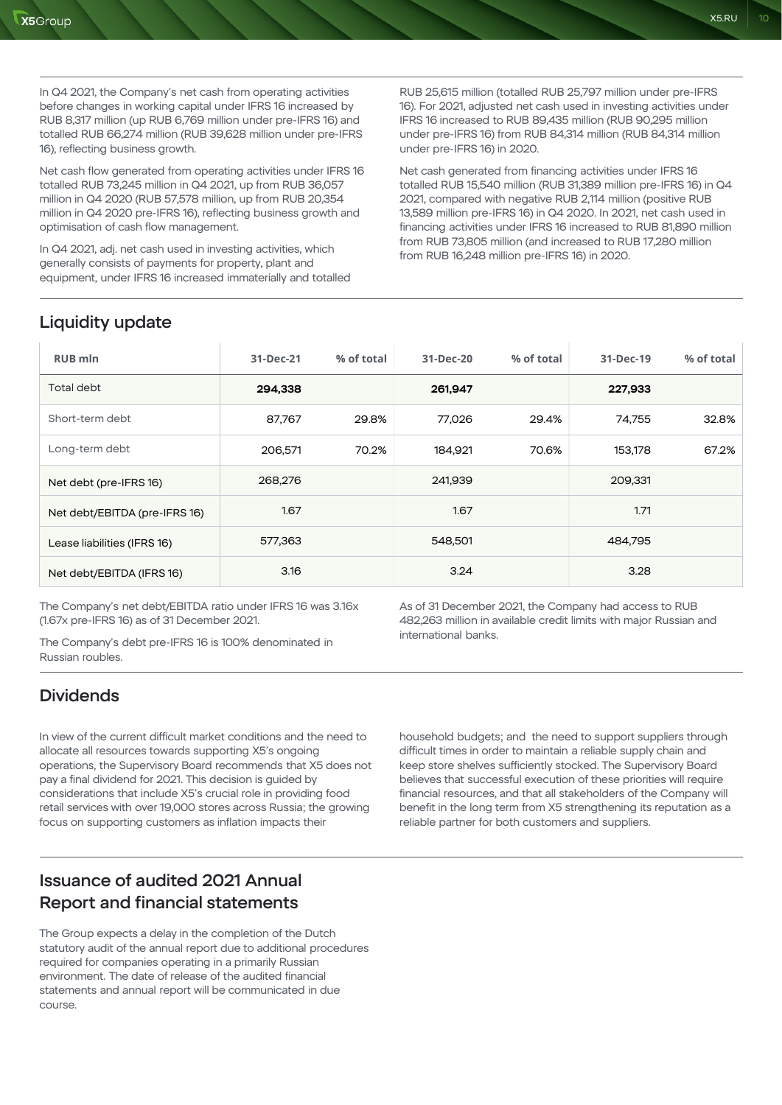In Q4 2021, the Company's net cash from operating activities before changes in working capital under IFRS 16 increased by RUB 8,317 million (up RUB 6,769 million under pre-IFRS 16) and totalled RUB 66,274 million (RUB 39,628 million under pre-IFRS 16), reflecting business growth.

Net cash flow generated from operating activities under IFRS 16 totalled RUB 73,245 million in Q4 2021, up from RUB 36,057 million in Q4 2020 (RUB 57,578 million, up from RUB 20,354 million in Q4 2020 pre-IFRS 16), reflecting business growth and optimisation of cash flow management.

In Q4 2021, adj. net cash used in investing activities, which generally consists of payments for property, plant and equipment, under IFRS 16 increased immaterially and totalled RUB 25,615 million (totalled RUB 25,797 million under pre-IFRS 16). For 2021, adjusted net cash used in investing activities under IFRS 16 increased to RUB 89,435 million (RUB 90,295 million under pre-IFRS 16) from RUB 84,314 million (RUB 84,314 million under pre-IFRS 16) in 2020.

Net cash generated from financing activities under IFRS 16 totalled RUB 15,540 million (RUB 31,389 million pre-IFRS 16) in Q4 2021, compared with negative RUB 2,114 million (positive RUB 13,589 million pre-IFRS 16) in Q4 2020. In 2021, net cash used in financing activities under IFRS 16 increased to RUB 81,890 million from RUB 73,805 million (and increased to RUB 17,280 million from RUB 16,248 million pre-IFRS 16) in 2020.

# Liquidity update

| <b>RUB mln</b>                | 31-Dec-21 | % of total | 31-Dec-20 | % of total | 31-Dec-19 | % of total |
|-------------------------------|-----------|------------|-----------|------------|-----------|------------|
| Total debt                    | 294,338   |            | 261,947   |            | 227,933   |            |
| Short-term debt               | 87,767    | 29.8%      | 77,026    | 29.4%      | 74,755    | 32.8%      |
| Long-term debt                | 206,571   | 70.2%      | 184,921   | 70.6%      | 153,178   | 67.2%      |
| Net debt (pre-IFRS 16)        | 268,276   |            | 241,939   |            | 209,331   |            |
| Net debt/EBITDA (pre-IFRS 16) | 1.67      |            | 1.67      |            | 1.71      |            |
| Lease liabilities (IFRS 16)   | 577,363   |            | 548,501   |            | 484,795   |            |
| Net debt/EBITDA (IFRS 16)     | 3.16      |            | 3.24      |            | 3.28      |            |

The Company's net debt/EBITDA ratio under IFRS 16 was 3.16x (1.67x pre-IFRS 16) as of 31 December 2021.

The Company's debt pre-IFRS 16 is 100% denominated in Russian roubles.

As of 31 December 2021, the Company had access to RUB 482,263 million in available credit limits with major Russian and international banks.

## **Dividends**

In view of the current difficult market conditions and the need to allocate all resources towards supporting X5's ongoing operations, the Supervisory Board recommends that X5 does not pay a final dividend for 2021. This decision is guided by considerations that include X5's crucial role in providing food retail services with over 19,000 stores across Russia; the growing focus on supporting customers as inflation impacts their

household budgets; and the need to support suppliers through difficult times in order to maintain a reliable supply chain and keep store shelves sufficiently stocked. The Supervisory Board believes that successful execution of these priorities will require financial resources, and that all stakeholders of the Company will benefit in the long term from X5 strengthening its reputation as a reliable partner for both customers and suppliers.

# Issuance of audited 2021 Annual Report and financial statements

The Group expects a delay in the completion of the Dutch statutory audit of the annual report due to additional procedures required for companies operating in a primarily Russian environment. The date of release of the audited financial statements and annual report will be communicated in due course.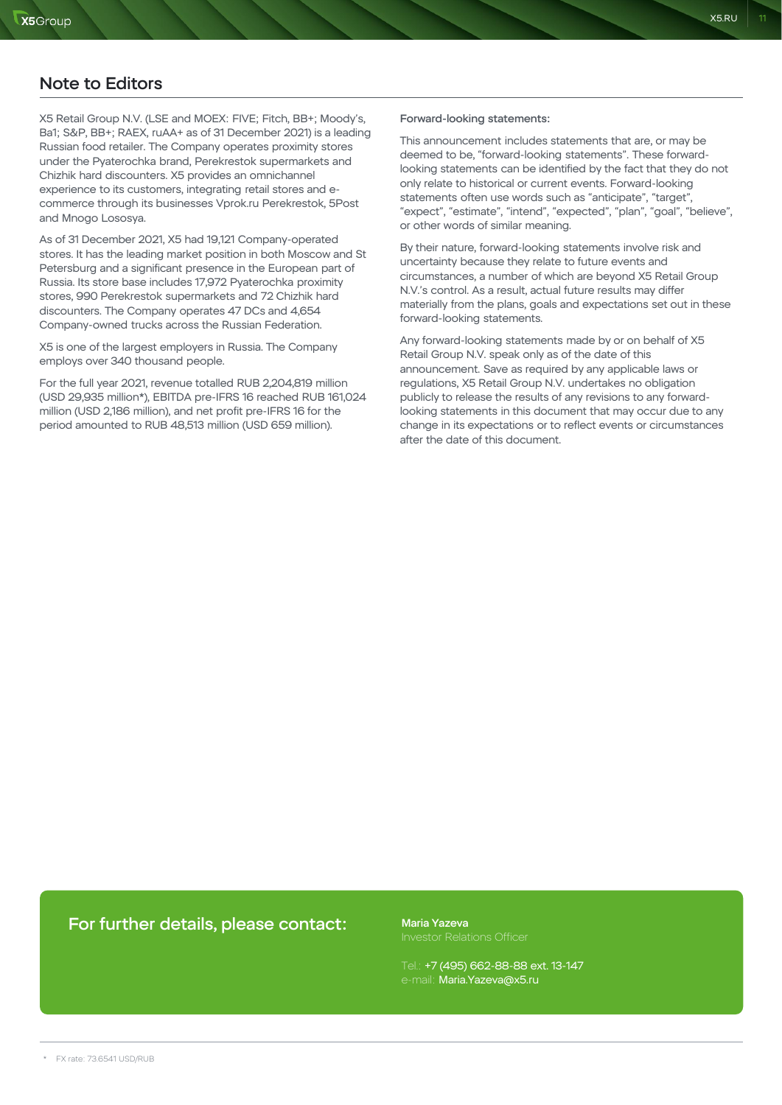### Note to Editors

X5 Retail Group N.V. (LSE and MOEX: FIVE; Fitch, BB+; Moody's, Ba1; S&P, BB+; RAEX, ruAA+ as of 31 December 2021) is a leading Russian food retailer. The Company operates proximity stores under the Pyaterochka brand, Perekrestok supermarkets and Chizhik hard discounters. X5 provides an omnichannel experience to its customers, integrating retail stores and ecommerce through its businesses Vprok.ru Perekrestok, 5Post and Mnogo Lososya.

As of 31 December 2021, X5 had 19,121 Company-operated stores. It has the leading market position in both Moscow and St Petersburg and a significant presence in the European part of Russia. Its store base includes 17,972 Pyaterochka proximity stores, 990 Perekrestok supermarkets and 72 Chizhik hard discounters. The Company operates 47 DCs and 4,654 Company-owned trucks across the Russian Federation.

X5 is one of the largest employers in Russia. The Company employs over 340 thousand people.

For the full year 2021, revenue totalled RUB 2,204,819 million (USD 29,935 million\*), EBITDA pre-IFRS 16 reached RUB 161,024 million (USD 2,186 million), and net profit pre-IFRS 16 for the period amounted to RUB 48,513 million (USD 659 million).

#### Forward-looking statements:

This announcement includes statements that are, or may be deemed to be, "forward-looking statements". These forwardlooking statements can be identified by the fact that they do not only relate to historical or current events. Forward-looking statements often use words such as "anticipate", "target", "expect", "estimate", "intend", "expected", "plan", "goal", "believe", or other words of similar meaning.

By their nature, forward-looking statements involve risk and uncertainty because they relate to future events and circumstances, a number of which are beyond X5 Retail Group N.V.'s control. As a result, actual future results may differ materially from the plans, goals and expectations set out in these forward-looking statements.

Any forward-looking statements made by or on behalf of X5 Retail Group N.V. speak only as of the date of this announcement. Save as required by any applicable laws or regulations, X5 Retail Group N.V. undertakes no obligation publicly to release the results of any revisions to any forwardlooking statements in this document that may occur due to any change in its expectations or to reflect events or circumstances after the date of this document.

### For further details, please contact:

Maria Yazeva

Tel.: +7 (495) 662-88-88 ext. 13-147 e-mail: Maria.Yazeva@x5.ru

 $X5.RU$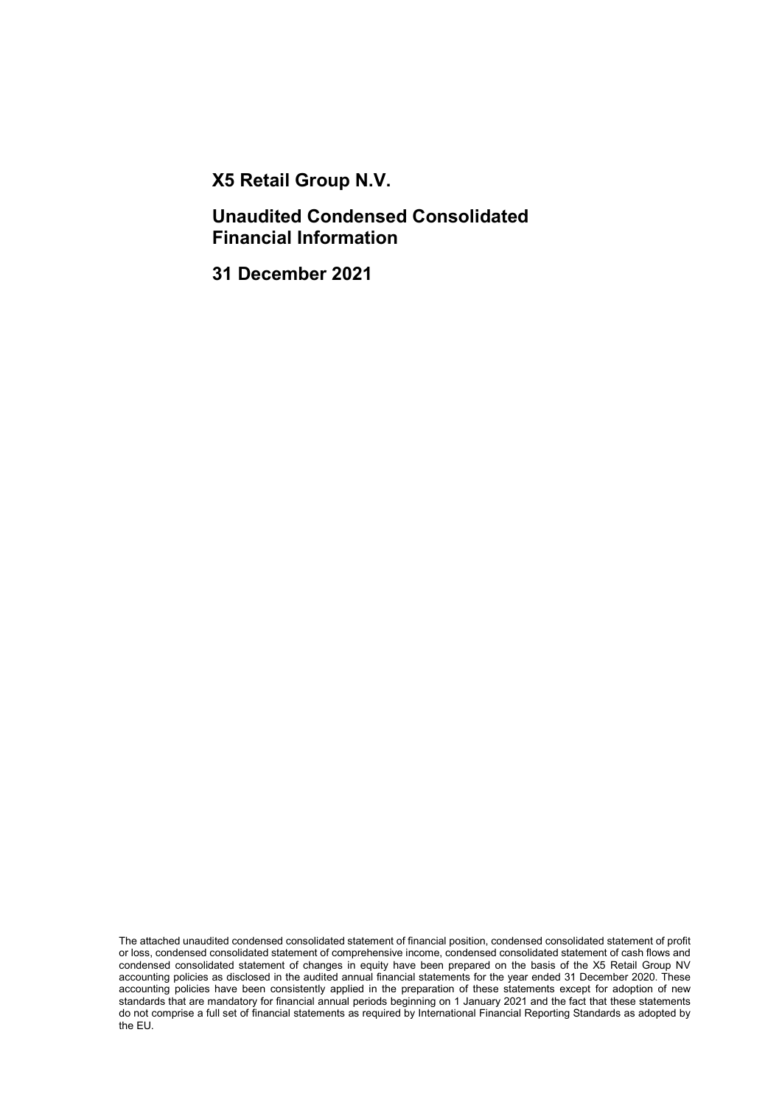X5 Retail Group N.V.

Unaudited Condensed Consolidated Financial Information

31 December 2021

The attached unaudited condensed consolidated statement of financial position, condensed consolidated statement of profit or loss, condensed consolidated statement of comprehensive income, condensed consolidated statement of cash flows and condensed consolidated statement of changes in equity have been prepared on the basis of the X5 Retail Group NV accounting policies as disclosed in the audited annual financial statements for the year ended 31 December 2020. These accounting policies have been consistently applied in the preparation of these statements except for adoption of new standards that are mandatory for financial annual periods beginning on 1 January 2021 and the fact that these statements do not comprise a full set of financial statements as required by International Financial Reporting Standards as adopted by the EU.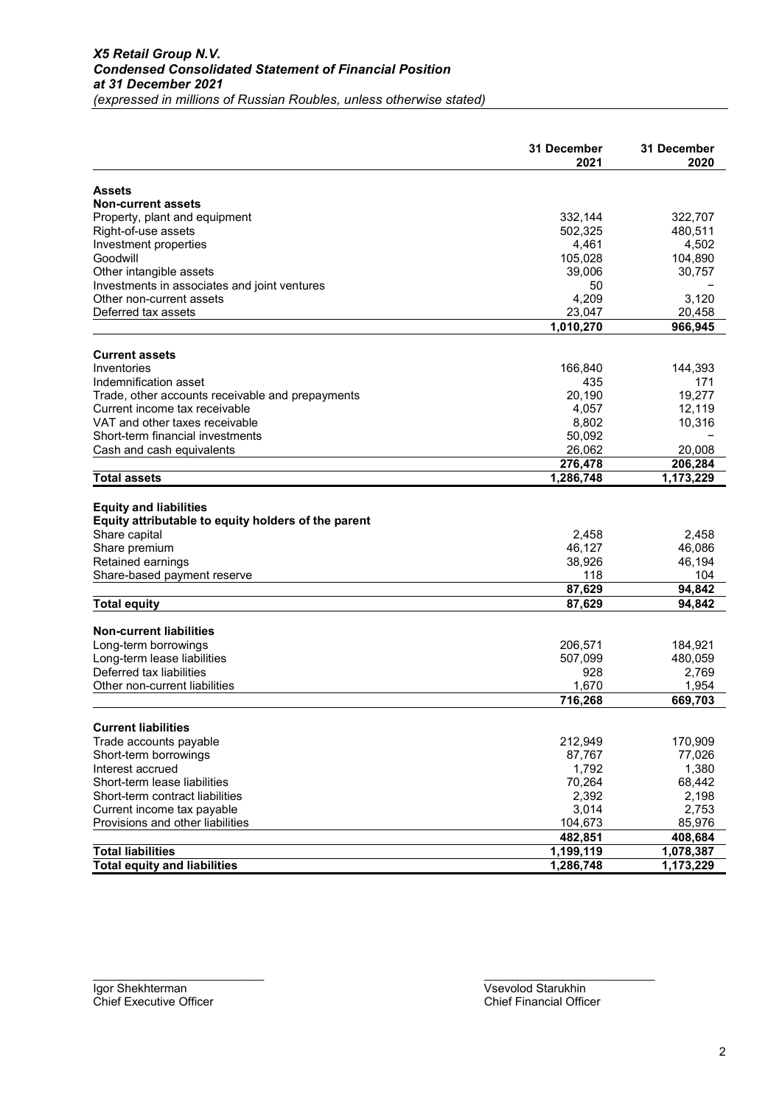|                                                     | 31 December | 31 December   |
|-----------------------------------------------------|-------------|---------------|
|                                                     | 2021        | 2020          |
| <b>Assets</b>                                       |             |               |
| <b>Non-current assets</b>                           |             |               |
| Property, plant and equipment                       | 332,144     | 322,707       |
| Right-of-use assets                                 | 502.325     | 480,511       |
| Investment properties                               | 4,461       | 4,502         |
| Goodwill                                            | 105,028     | 104,890       |
| Other intangible assets                             | 39,006      | 30,757        |
| Investments in associates and joint ventures        | 50          |               |
| Other non-current assets                            | 4,209       | 3,120         |
| Deferred tax assets                                 | 23,047      | 20,458        |
|                                                     | 1,010,270   | 966,945       |
| <b>Current assets</b>                               |             |               |
| Inventories                                         | 166,840     | 144,393       |
| Indemnification asset                               | 435         | 171           |
| Trade, other accounts receivable and prepayments    | 20,190      | 19,277        |
| Current income tax receivable                       | 4,057       | 12,119        |
| VAT and other taxes receivable                      | 8,802       | 10,316        |
| Short-term financial investments                    | 50,092      |               |
| Cash and cash equivalents                           | 26,062      | 20,008        |
|                                                     | 276,478     | 206,284       |
| <b>Total assets</b>                                 | 1,286,748   | 1,173,229     |
|                                                     |             |               |
| <b>Equity and liabilities</b>                       |             |               |
| Equity attributable to equity holders of the parent |             |               |
| Share capital                                       | 2,458       | 2,458         |
| Share premium                                       | 46,127      | 46,086        |
|                                                     | 38,926      |               |
| Retained earnings                                   |             | 46,194<br>104 |
| Share-based payment reserve                         | 118         |               |
|                                                     | 87,629      | 94,842        |
| <b>Total equity</b>                                 | 87,629      | 94,842        |
| <b>Non-current liabilities</b>                      |             |               |
| Long-term borrowings                                | 206,571     | 184,921       |
| Long-term lease liabilities                         | 507,099     | 480,059       |
| Deferred tax liabilities                            | 928         | 2,769         |
| Other non-current liabilities                       | 1,670       | 1,954         |
|                                                     | 716,268     | 669,703       |
|                                                     |             |               |
| <b>Current liabilities</b>                          |             |               |
| Trade accounts payable                              | 212,949     | 170,909       |
| Short-term borrowings                               | 87,767      | 77,026        |
| Interest accrued                                    | 1,792       | 1,380         |
| Short-term lease liabilities                        | 70,264      | 68,442        |
| Short-term contract liabilities                     | 2,392       | 2,198         |
| Current income tax payable                          | 3,014       | 2,753         |
| Provisions and other liabilities                    | 104,673     | 85,976        |
|                                                     | 482,851     | 408,684       |
| <b>Total liabilities</b>                            | 1,199,119   | 1,078,387     |
| <b>Total equity and liabilities</b>                 | 1,286,748   | 1,173,229     |

\_\_\_\_\_\_\_\_\_\_\_\_\_\_\_\_\_\_\_\_\_\_\_\_\_\_ \_\_\_\_\_\_\_\_\_\_\_\_\_\_\_\_\_\_\_\_\_\_\_\_\_\_

Igor Shekhterman Vsevolod Starukhin<br>
Chief Executive Officer<br>
Chief Financial Officer Chief Executive Officer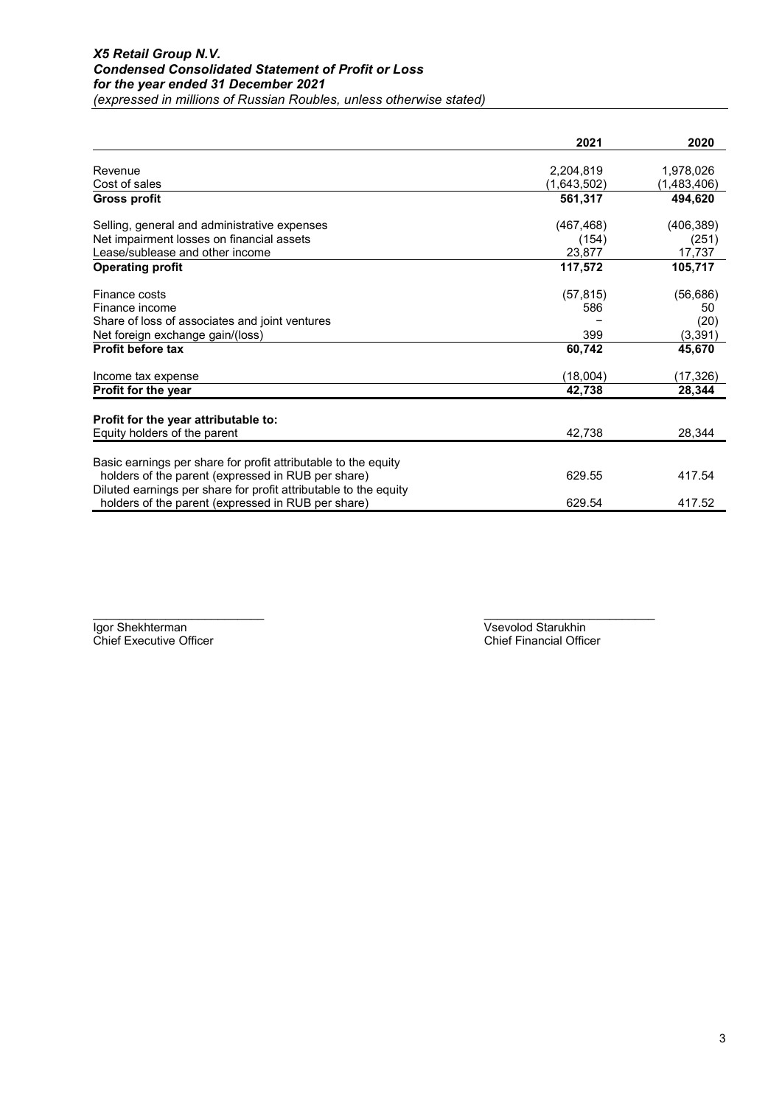|                                                                                                                      | 2021        | 2020        |
|----------------------------------------------------------------------------------------------------------------------|-------------|-------------|
| Revenue                                                                                                              | 2,204,819   | 1,978,026   |
| Cost of sales                                                                                                        | (1,643,502) | (1,483,406) |
| <b>Gross profit</b>                                                                                                  | 561,317     | 494,620     |
| Selling, general and administrative expenses                                                                         | (467, 468)  | (406, 389)  |
| Net impairment losses on financial assets                                                                            | (154)       | (251)       |
| Lease/sublease and other income                                                                                      | 23,877      | 17,737      |
| <b>Operating profit</b>                                                                                              | 117,572     | 105,717     |
| Finance costs                                                                                                        | (57, 815)   | (56, 686)   |
| Finance income                                                                                                       | 586         | 50          |
| Share of loss of associates and joint ventures                                                                       |             | (20)        |
| Net foreign exchange gain/(loss)                                                                                     | 399         | (3, 391)    |
| <b>Profit before tax</b>                                                                                             | 60,742      | 45,670      |
| Income tax expense                                                                                                   | (18,004)    | (17,326)    |
| Profit for the year                                                                                                  | 42,738      | 28,344      |
| Profit for the year attributable to:                                                                                 |             |             |
| Equity holders of the parent                                                                                         | 42,738      | 28,344      |
|                                                                                                                      |             |             |
| Basic earnings per share for profit attributable to the equity<br>holders of the parent (expressed in RUB per share) | 629.55      | 417.54      |
| Diluted earnings per share for profit attributable to the equity                                                     |             |             |
| holders of the parent (expressed in RUB per share)                                                                   | 629.54      | 417.52      |

Igor Shekhterman Vsevolod Starukhin<br>
Chief Executive Officer<br>
Chief Executive Officer Chief Executive Officer

\_\_\_\_\_\_\_\_\_\_\_\_\_\_\_\_\_\_\_\_\_\_\_\_\_\_ \_\_\_\_\_\_\_\_\_\_\_\_\_\_\_\_\_\_\_\_\_\_\_\_\_\_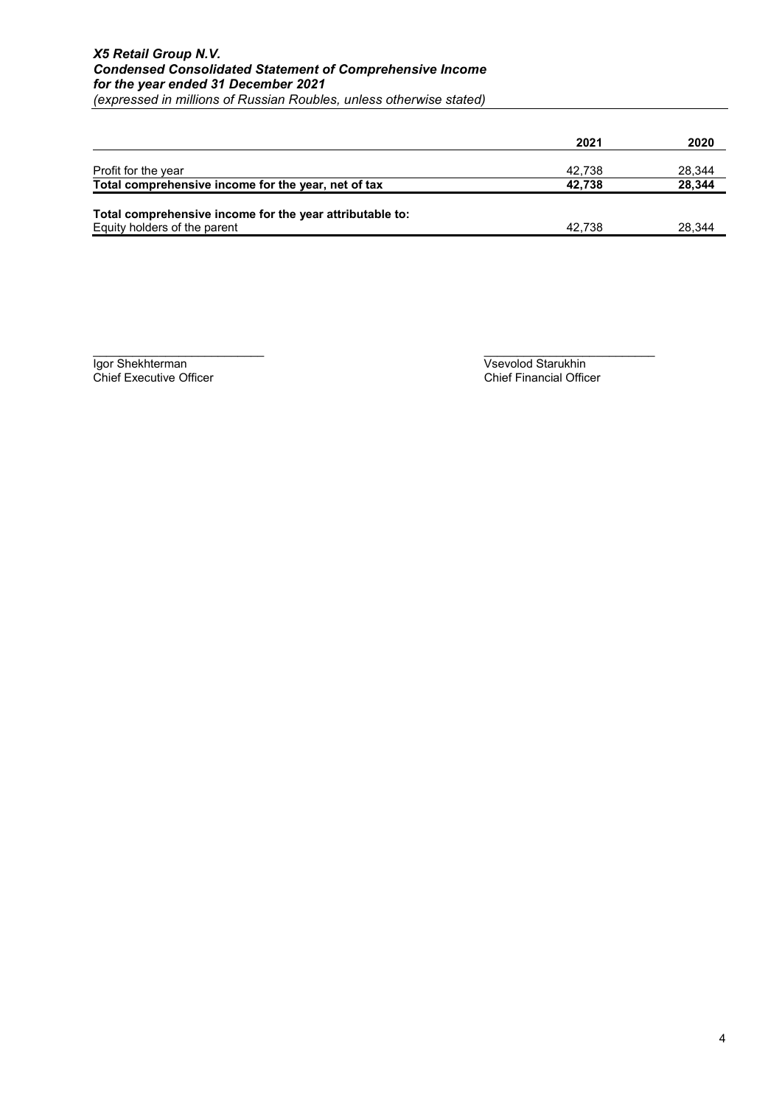|                                                          | 2021   | 2020   |
|----------------------------------------------------------|--------|--------|
|                                                          |        |        |
| Profit for the year                                      | 42.738 | 28,344 |
| Total comprehensive income for the year, net of tax      | 42.738 | 28.344 |
| Total comprehensive income for the year attributable to: |        |        |
| Equity holders of the parent                             | 42.738 | 28.344 |

Chief Executive Officer

\_\_\_\_\_\_\_\_\_\_\_\_\_\_\_\_\_\_\_\_\_\_\_\_\_\_ \_\_\_\_\_\_\_\_\_\_\_\_\_\_\_\_\_\_\_\_\_\_\_\_\_\_ Igor Shekhterman Vsevolod Starukhin<br>
Chief Executive Officer Chief Financial Officer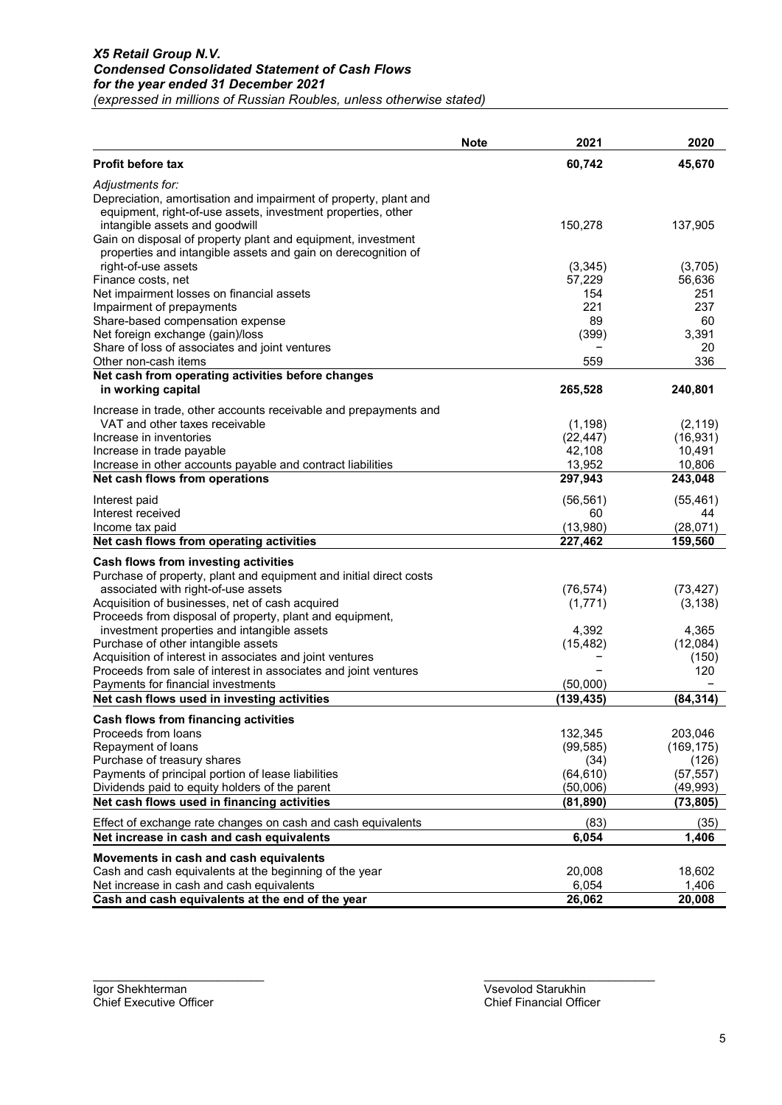|                                                                                                       | <b>Note</b> | 2021              | 2020               |
|-------------------------------------------------------------------------------------------------------|-------------|-------------------|--------------------|
| Profit before tax                                                                                     |             | 60,742            | 45,670             |
| Adjustments for:                                                                                      |             |                   |                    |
| Depreciation, amortisation and impairment of property, plant and                                      |             |                   |                    |
| equipment, right-of-use assets, investment properties, other                                          |             |                   |                    |
| intangible assets and goodwill                                                                        |             | 150,278           | 137,905            |
| Gain on disposal of property plant and equipment, investment                                          |             |                   |                    |
| properties and intangible assets and gain on derecognition of<br>right-of-use assets                  |             | (3, 345)          | (3,705)            |
| Finance costs, net                                                                                    |             | 57,229            | 56,636             |
| Net impairment losses on financial assets                                                             |             | 154               | 251                |
| Impairment of prepayments                                                                             |             | 221               | 237                |
| Share-based compensation expense                                                                      |             | 89                | 60                 |
| Net foreign exchange (gain)/loss                                                                      |             | (399)             | 3,391              |
| Share of loss of associates and joint ventures                                                        |             |                   | 20                 |
| Other non-cash items                                                                                  |             | 559               | 336                |
| Net cash from operating activities before changes                                                     |             |                   |                    |
| in working capital                                                                                    |             | 265,528           | 240,801            |
| Increase in trade, other accounts receivable and prepayments and                                      |             |                   |                    |
| VAT and other taxes receivable                                                                        |             | (1, 198)          | (2, 119)           |
| Increase in inventories                                                                               |             | (22, 447)         | (16, 931)          |
| Increase in trade payable                                                                             |             | 42,108            | 10,491             |
| Increase in other accounts payable and contract liabilities                                           |             | 13,952            | 10,806             |
| Net cash flows from operations                                                                        |             | 297,943           | 243,048            |
| Interest paid                                                                                         |             | (56, 561)         | (55, 461)          |
| Interest received                                                                                     |             | 60                | 44                 |
| Income tax paid                                                                                       |             | (13,980)          | (28,071)           |
| Net cash flows from operating activities                                                              |             | 227,462           | 159,560            |
| Cash flows from investing activities                                                                  |             |                   |                    |
| Purchase of property, plant and equipment and initial direct costs                                    |             |                   |                    |
| associated with right-of-use assets                                                                   |             | (76, 574)         | (73, 427)          |
| Acquisition of businesses, net of cash acquired                                                       |             | (1,771)           | (3, 138)           |
| Proceeds from disposal of property, plant and equipment,                                              |             |                   |                    |
| investment properties and intangible assets                                                           |             | 4,392             | 4,365              |
| Purchase of other intangible assets                                                                   |             | (15, 482)         | (12,084)           |
| Acquisition of interest in associates and joint ventures                                              |             |                   | (150)              |
| Proceeds from sale of interest in associates and joint ventures<br>Payments for financial investments |             | (50,000)          | 120                |
| Net cash flows used in investing activities                                                           |             | (139, 435)        | (84, 314)          |
|                                                                                                       |             |                   |                    |
| Cash flows from financing activities                                                                  |             |                   |                    |
| Proceeds from loans                                                                                   |             | 132,345           | 203,046            |
| Repayment of loans<br>Purchase of treasury shares                                                     |             | (99, 585)         | (169, 175)         |
| Payments of principal portion of lease liabilities                                                    |             | (34)<br>(64, 610) | (126)<br>(57, 557) |
| Dividends paid to equity holders of the parent                                                        |             | (50,006)          | (49, 993)          |
| Net cash flows used in financing activities                                                           |             | (81, 890)         | (73, 805)          |
|                                                                                                       |             |                   |                    |
| Effect of exchange rate changes on cash and cash equivalents                                          |             | (83)              | (35)               |
| Net increase in cash and cash equivalents                                                             |             | 6,054             | 1,406              |
| Movements in cash and cash equivalents                                                                |             |                   |                    |
| Cash and cash equivalents at the beginning of the year                                                |             | 20,008            | 18,602             |
| Net increase in cash and cash equivalents                                                             |             | 6,054             | 1,406              |
| Cash and cash equivalents at the end of the year                                                      |             | 26,062            | 20,008             |

\_\_\_\_\_\_\_\_\_\_\_\_\_\_\_\_\_\_\_\_\_\_\_\_\_\_ \_\_\_\_\_\_\_\_\_\_\_\_\_\_\_\_\_\_\_\_\_\_\_\_\_\_ Igor Shekhterman Vsevolod Starukhin<br>
Chief Executive Officer<br>
Chief Financial Officer Chief Executive Officer